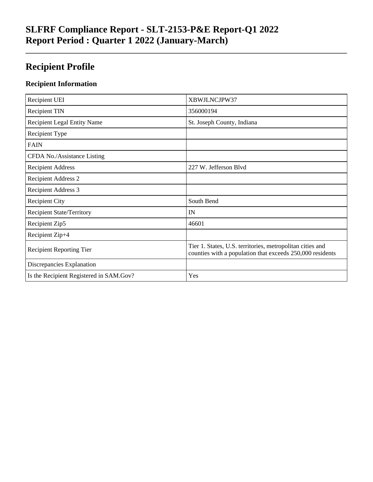## **Recipient Profile**

#### **Recipient Information**

| Recipient UEI                           | XBWJLNCJPW37                                                                                                           |
|-----------------------------------------|------------------------------------------------------------------------------------------------------------------------|
| <b>Recipient TIN</b>                    | 356000194                                                                                                              |
| <b>Recipient Legal Entity Name</b>      | St. Joseph County, Indiana                                                                                             |
| Recipient Type                          |                                                                                                                        |
| <b>FAIN</b>                             |                                                                                                                        |
| CFDA No./Assistance Listing             |                                                                                                                        |
| <b>Recipient Address</b>                | 227 W. Jefferson Blvd                                                                                                  |
| <b>Recipient Address 2</b>              |                                                                                                                        |
| Recipient Address 3                     |                                                                                                                        |
| <b>Recipient City</b>                   | South Bend                                                                                                             |
| <b>Recipient State/Territory</b>        | IN                                                                                                                     |
| Recipient Zip5                          | 46601                                                                                                                  |
| Recipient Zip+4                         |                                                                                                                        |
| <b>Recipient Reporting Tier</b>         | Tier 1. States, U.S. territories, metropolitan cities and<br>counties with a population that exceeds 250,000 residents |
| Discrepancies Explanation               |                                                                                                                        |
| Is the Recipient Registered in SAM.Gov? | Yes                                                                                                                    |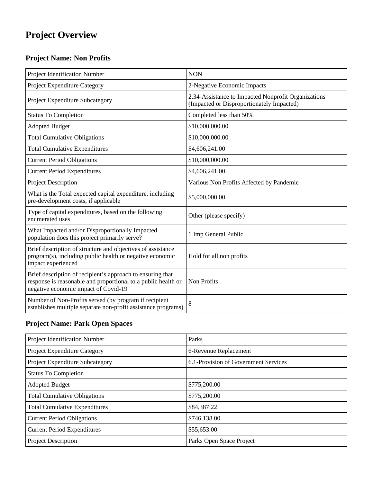# **Project Overview**

### **Project Name: Non Profits**

| Project Identification Number                                                                                                                                       | <b>NON</b>                                                                                       |
|---------------------------------------------------------------------------------------------------------------------------------------------------------------------|--------------------------------------------------------------------------------------------------|
| Project Expenditure Category                                                                                                                                        | 2-Negative Economic Impacts                                                                      |
| Project Expenditure Subcategory                                                                                                                                     | 2.34-Assistance to Impacted Nonprofit Organizations<br>(Impacted or Disproportionately Impacted) |
| <b>Status To Completion</b>                                                                                                                                         | Completed less than 50%                                                                          |
| <b>Adopted Budget</b>                                                                                                                                               | \$10,000,000.00                                                                                  |
| <b>Total Cumulative Obligations</b>                                                                                                                                 | \$10,000,000.00                                                                                  |
| <b>Total Cumulative Expenditures</b>                                                                                                                                | \$4,606,241.00                                                                                   |
| <b>Current Period Obligations</b>                                                                                                                                   | \$10,000,000.00                                                                                  |
| <b>Current Period Expenditures</b>                                                                                                                                  | \$4,606,241.00                                                                                   |
| Project Description                                                                                                                                                 | Various Non Profits Affected by Pandemic                                                         |
| What is the Total expected capital expenditure, including<br>pre-development costs, if applicable                                                                   | \$5,000,000.00                                                                                   |
| Type of capital expenditures, based on the following<br>enumerated uses                                                                                             | Other (please specify)                                                                           |
| What Impacted and/or Disproportionally Impacted<br>population does this project primarily serve?                                                                    | 1 Imp General Public                                                                             |
| Brief description of structure and objectives of assistance<br>program(s), including public health or negative economic<br>impact experienced                       | Hold for all non profits                                                                         |
| Brief description of recipient's approach to ensuring that<br>response is reasonable and proportional to a public health or<br>negative economic impact of Covid-19 | Non Profits                                                                                      |
| Number of Non-Profits served (by program if recipient<br>establishes multiple separate non-profit assistance programs)                                              | 8                                                                                                |

### **Project Name: Park Open Spaces**

| Project Identification Number        | Parks                                |
|--------------------------------------|--------------------------------------|
| Project Expenditure Category         | 6-Revenue Replacement                |
| Project Expenditure Subcategory      | 6.1-Provision of Government Services |
| <b>Status To Completion</b>          |                                      |
| <b>Adopted Budget</b>                | \$775,200.00                         |
| <b>Total Cumulative Obligations</b>  | \$775,200.00                         |
| <b>Total Cumulative Expenditures</b> | \$84,387.22                          |
| <b>Current Period Obligations</b>    | \$746,138.00                         |
| <b>Current Period Expenditures</b>   | \$55,653.00                          |
| <b>Project Description</b>           | Parks Open Space Project             |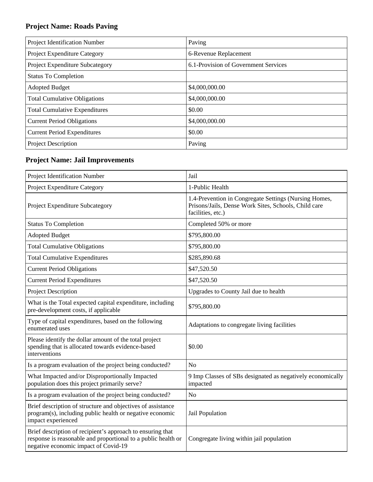### **Project Name: Roads Paving**

| Project Identification Number        | Paving                               |
|--------------------------------------|--------------------------------------|
| Project Expenditure Category         | 6-Revenue Replacement                |
| Project Expenditure Subcategory      | 6.1-Provision of Government Services |
| <b>Status To Completion</b>          |                                      |
| <b>Adopted Budget</b>                | \$4,000,000.00                       |
| <b>Total Cumulative Obligations</b>  | \$4,000,000.00                       |
| <b>Total Cumulative Expenditures</b> | \$0.00                               |
| <b>Current Period Obligations</b>    | \$4,000,000.00                       |
| <b>Current Period Expenditures</b>   | \$0.00                               |
| Project Description                  | Paving                               |

### **Project Name: Jail Improvements**

| Project Identification Number                                                                                                                                       | Jail                                                                                                                               |
|---------------------------------------------------------------------------------------------------------------------------------------------------------------------|------------------------------------------------------------------------------------------------------------------------------------|
| Project Expenditure Category                                                                                                                                        | 1-Public Health                                                                                                                    |
| Project Expenditure Subcategory                                                                                                                                     | 1.4-Prevention in Congregate Settings (Nursing Homes,<br>Prisons/Jails, Dense Work Sites, Schools, Child care<br>facilities, etc.) |
| <b>Status To Completion</b>                                                                                                                                         | Completed 50% or more                                                                                                              |
| <b>Adopted Budget</b>                                                                                                                                               | \$795,800.00                                                                                                                       |
| <b>Total Cumulative Obligations</b>                                                                                                                                 | \$795,800.00                                                                                                                       |
| <b>Total Cumulative Expenditures</b>                                                                                                                                | \$285,890.68                                                                                                                       |
| <b>Current Period Obligations</b>                                                                                                                                   | \$47,520.50                                                                                                                        |
| <b>Current Period Expenditures</b>                                                                                                                                  | \$47,520.50                                                                                                                        |
| <b>Project Description</b>                                                                                                                                          | Upgrades to County Jail due to health                                                                                              |
| What is the Total expected capital expenditure, including<br>pre-development costs, if applicable                                                                   | \$795,800.00                                                                                                                       |
| Type of capital expenditures, based on the following<br>enumerated uses                                                                                             | Adaptations to congregate living facilities                                                                                        |
| Please identify the dollar amount of the total project<br>spending that is allocated towards evidence-based<br>interventions                                        | \$0.00                                                                                                                             |
| Is a program evaluation of the project being conducted?                                                                                                             | N <sub>o</sub>                                                                                                                     |
| What Impacted and/or Disproportionally Impacted<br>population does this project primarily serve?                                                                    | 9 Imp Classes of SBs designated as negatively economically<br>impacted                                                             |
| Is a program evaluation of the project being conducted?                                                                                                             | N <sub>o</sub>                                                                                                                     |
| Brief description of structure and objectives of assistance<br>program(s), including public health or negative economic<br>impact experienced                       | Jail Population                                                                                                                    |
| Brief description of recipient's approach to ensuring that<br>response is reasonable and proportional to a public health or<br>negative economic impact of Covid-19 | Congregate living within jail population                                                                                           |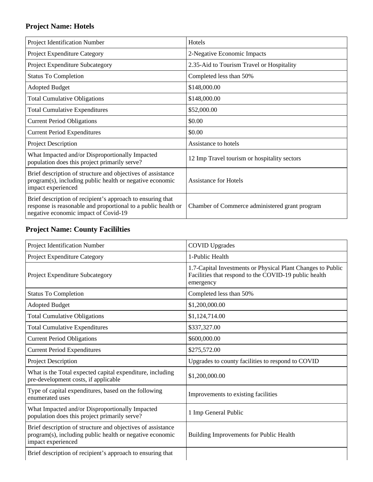#### **Project Name: Hotels**

| Project Identification Number                                                                                                                                       | Hotels                                         |
|---------------------------------------------------------------------------------------------------------------------------------------------------------------------|------------------------------------------------|
| Project Expenditure Category                                                                                                                                        | 2-Negative Economic Impacts                    |
| Project Expenditure Subcategory                                                                                                                                     | 2.35-Aid to Tourism Travel or Hospitality      |
| <b>Status To Completion</b>                                                                                                                                         | Completed less than 50%                        |
| <b>Adopted Budget</b>                                                                                                                                               | \$148,000.00                                   |
| <b>Total Cumulative Obligations</b>                                                                                                                                 | \$148,000.00                                   |
| <b>Total Cumulative Expenditures</b>                                                                                                                                | \$52,000.00                                    |
| <b>Current Period Obligations</b>                                                                                                                                   | \$0.00                                         |
| <b>Current Period Expenditures</b>                                                                                                                                  | \$0.00                                         |
| <b>Project Description</b>                                                                                                                                          | Assistance to hotels                           |
| What Impacted and/or Disproportionally Impacted<br>population does this project primarily serve?                                                                    | 12 Imp Travel tourism or hospitality sectors   |
| Brief description of structure and objectives of assistance<br>program(s), including public health or negative economic<br>impact experienced                       | <b>Assistance for Hotels</b>                   |
| Brief description of recipient's approach to ensuring that<br>response is reasonable and proportional to a public health or<br>negative economic impact of Covid-19 | Chamber of Commerce administered grant program |

### **Project Name: County Facililties**

| Project Identification Number                                                                                                                 | <b>COVID Upgrades</b>                                                                                                             |
|-----------------------------------------------------------------------------------------------------------------------------------------------|-----------------------------------------------------------------------------------------------------------------------------------|
| Project Expenditure Category                                                                                                                  | 1-Public Health                                                                                                                   |
| Project Expenditure Subcategory                                                                                                               | 1.7-Capital Investments or Physical Plant Changes to Public<br>Facilities that respond to the COVID-19 public health<br>emergency |
| <b>Status To Completion</b>                                                                                                                   | Completed less than 50%                                                                                                           |
| <b>Adopted Budget</b>                                                                                                                         | \$1,200,000.00                                                                                                                    |
| <b>Total Cumulative Obligations</b>                                                                                                           | \$1,124,714.00                                                                                                                    |
| <b>Total Cumulative Expenditures</b>                                                                                                          | \$337,327.00                                                                                                                      |
| <b>Current Period Obligations</b>                                                                                                             | \$600,000.00                                                                                                                      |
| <b>Current Period Expenditures</b>                                                                                                            | \$275,572.00                                                                                                                      |
| <b>Project Description</b>                                                                                                                    | Upgrades to county facilities to respond to COVID                                                                                 |
| What is the Total expected capital expenditure, including<br>pre-development costs, if applicable                                             | \$1,200,000.00                                                                                                                    |
| Type of capital expenditures, based on the following<br>enumerated uses                                                                       | Improvements to existing facilities                                                                                               |
| What Impacted and/or Disproportionally Impacted<br>population does this project primarily serve?                                              | 1 Imp General Public                                                                                                              |
| Brief description of structure and objectives of assistance<br>program(s), including public health or negative economic<br>impact experienced | Building Improvements for Public Health                                                                                           |
| Brief description of recipient's approach to ensuring that                                                                                    |                                                                                                                                   |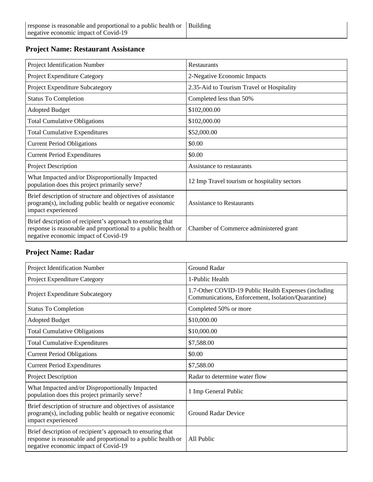#### **Project Name: Restaurant Assistance**

| Project Identification Number                                                                                                                                       | Restaurants                                  |
|---------------------------------------------------------------------------------------------------------------------------------------------------------------------|----------------------------------------------|
| Project Expenditure Category                                                                                                                                        | 2-Negative Economic Impacts                  |
| Project Expenditure Subcategory                                                                                                                                     | 2.35-Aid to Tourism Travel or Hospitality    |
| <b>Status To Completion</b>                                                                                                                                         | Completed less than 50%                      |
| <b>Adopted Budget</b>                                                                                                                                               | \$102,000.00                                 |
| <b>Total Cumulative Obligations</b>                                                                                                                                 | \$102,000.00                                 |
| <b>Total Cumulative Expenditures</b>                                                                                                                                | \$52,000.00                                  |
| <b>Current Period Obligations</b>                                                                                                                                   | \$0.00                                       |
| <b>Current Period Expenditures</b>                                                                                                                                  | \$0.00                                       |
| <b>Project Description</b>                                                                                                                                          | Assistance to restaurants                    |
| What Impacted and/or Disproportionally Impacted<br>population does this project primarily serve?                                                                    | 12 Imp Travel tourism or hospitality sectors |
| Brief description of structure and objectives of assistance<br>program(s), including public health or negative economic<br>impact experienced                       | <b>Assistance to Restaurants</b>             |
| Brief description of recipient's approach to ensuring that<br>response is reasonable and proportional to a public health or<br>negative economic impact of Covid-19 | Chamber of Commerce administered grant       |

#### **Project Name: Radar**

| Project Identification Number                                                                                                                                       | <b>Ground Radar</b>                                                                                        |
|---------------------------------------------------------------------------------------------------------------------------------------------------------------------|------------------------------------------------------------------------------------------------------------|
| Project Expenditure Category                                                                                                                                        | 1-Public Health                                                                                            |
| Project Expenditure Subcategory                                                                                                                                     | 1.7-Other COVID-19 Public Health Expenses (including<br>Communications, Enforcement, Isolation/Quarantine) |
| <b>Status To Completion</b>                                                                                                                                         | Completed 50% or more                                                                                      |
| <b>Adopted Budget</b>                                                                                                                                               | \$10,000.00                                                                                                |
| <b>Total Cumulative Obligations</b>                                                                                                                                 | \$10,000.00                                                                                                |
| <b>Total Cumulative Expenditures</b>                                                                                                                                | \$7,588.00                                                                                                 |
| <b>Current Period Obligations</b>                                                                                                                                   | \$0.00                                                                                                     |
| <b>Current Period Expenditures</b>                                                                                                                                  | \$7,588.00                                                                                                 |
| Project Description                                                                                                                                                 | Radar to determine water flow                                                                              |
| What Impacted and/or Disproportionally Impacted<br>population does this project primarily serve?                                                                    | 1 Imp General Public                                                                                       |
| Brief description of structure and objectives of assistance<br>program(s), including public health or negative economic<br>impact experienced                       | <b>Ground Radar Device</b>                                                                                 |
| Brief description of recipient's approach to ensuring that<br>response is reasonable and proportional to a public health or<br>negative economic impact of Covid-19 | All Public                                                                                                 |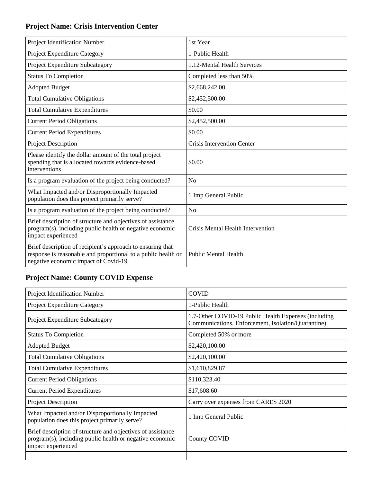### **Project Name: Crisis Intervention Center**

| Project Identification Number                                                                                                                                       | 1st Year                          |
|---------------------------------------------------------------------------------------------------------------------------------------------------------------------|-----------------------------------|
| Project Expenditure Category                                                                                                                                        | 1-Public Health                   |
| Project Expenditure Subcategory                                                                                                                                     | 1.12-Mental Health Services       |
| <b>Status To Completion</b>                                                                                                                                         | Completed less than 50%           |
| <b>Adopted Budget</b>                                                                                                                                               | \$2,668,242.00                    |
| <b>Total Cumulative Obligations</b>                                                                                                                                 | \$2,452,500.00                    |
| <b>Total Cumulative Expenditures</b>                                                                                                                                | \$0.00                            |
| <b>Current Period Obligations</b>                                                                                                                                   | \$2,452,500.00                    |
| <b>Current Period Expenditures</b>                                                                                                                                  | \$0.00                            |
| <b>Project Description</b>                                                                                                                                          | Crisis Intervention Center        |
| Please identify the dollar amount of the total project<br>spending that is allocated towards evidence-based<br>interventions                                        | \$0.00                            |
| Is a program evaluation of the project being conducted?                                                                                                             | N <sub>o</sub>                    |
| What Impacted and/or Disproportionally Impacted<br>population does this project primarily serve?                                                                    | 1 Imp General Public              |
| Is a program evaluation of the project being conducted?                                                                                                             | N <sub>o</sub>                    |
| Brief description of structure and objectives of assistance<br>program(s), including public health or negative economic<br>impact experienced                       | Crisis Mental Health Intervention |
| Brief description of recipient's approach to ensuring that<br>response is reasonable and proportional to a public health or<br>negative economic impact of Covid-19 | <b>Public Mental Health</b>       |

### **Project Name: County COVID Expense**

| Project Identification Number                                                                                                                 | <b>COVID</b>                                                                                               |
|-----------------------------------------------------------------------------------------------------------------------------------------------|------------------------------------------------------------------------------------------------------------|
| Project Expenditure Category                                                                                                                  | 1-Public Health                                                                                            |
| <b>Project Expenditure Subcategory</b>                                                                                                        | 1.7-Other COVID-19 Public Health Expenses (including<br>Communications, Enforcement, Isolation/Quarantine) |
| <b>Status To Completion</b>                                                                                                                   | Completed 50% or more                                                                                      |
| <b>Adopted Budget</b>                                                                                                                         | \$2,420,100.00                                                                                             |
| <b>Total Cumulative Obligations</b>                                                                                                           | \$2,420,100.00                                                                                             |
| <b>Total Cumulative Expenditures</b>                                                                                                          | \$1,610,829.87                                                                                             |
| <b>Current Period Obligations</b>                                                                                                             | \$110,323.40                                                                                               |
| <b>Current Period Expenditures</b>                                                                                                            | \$17,608.60                                                                                                |
| Project Description                                                                                                                           | Carry over expenses from CARES 2020                                                                        |
| What Impacted and/or Disproportionally Impacted<br>population does this project primarily serve?                                              | 1 Imp General Public                                                                                       |
| Brief description of structure and objectives of assistance<br>program(s), including public health or negative economic<br>impact experienced | County COVID                                                                                               |
|                                                                                                                                               |                                                                                                            |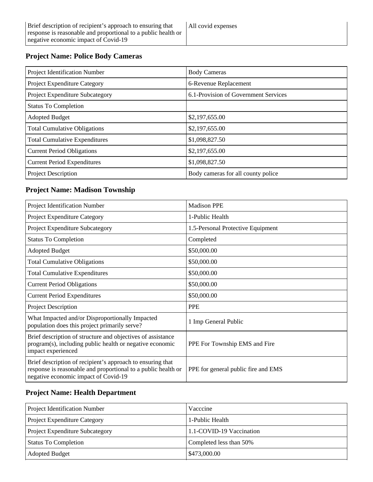#### **Project Name: Police Body Cameras**

| Project Identification Number        | <b>Body Cameras</b>                  |
|--------------------------------------|--------------------------------------|
| Project Expenditure Category         | 6-Revenue Replacement                |
| Project Expenditure Subcategory      | 6.1-Provision of Government Services |
| <b>Status To Completion</b>          |                                      |
| <b>Adopted Budget</b>                | \$2,197,655.00                       |
| <b>Total Cumulative Obligations</b>  | \$2,197,655.00                       |
| <b>Total Cumulative Expenditures</b> | \$1,098,827.50                       |
| <b>Current Period Obligations</b>    | \$2,197,655.00                       |
| <b>Current Period Expenditures</b>   | \$1,098,827.50                       |
| <b>Project Description</b>           | Body cameras for all county police   |

### **Project Name: Madison Township**

| Project Identification Number                                                                                                                                       | <b>Madison PPE</b>                  |
|---------------------------------------------------------------------------------------------------------------------------------------------------------------------|-------------------------------------|
| Project Expenditure Category                                                                                                                                        | 1-Public Health                     |
| Project Expenditure Subcategory                                                                                                                                     | 1.5-Personal Protective Equipment   |
| <b>Status To Completion</b>                                                                                                                                         | Completed                           |
| <b>Adopted Budget</b>                                                                                                                                               | \$50,000.00                         |
| <b>Total Cumulative Obligations</b>                                                                                                                                 | \$50,000.00                         |
| <b>Total Cumulative Expenditures</b>                                                                                                                                | \$50,000.00                         |
| <b>Current Period Obligations</b>                                                                                                                                   | \$50,000.00                         |
| <b>Current Period Expenditures</b>                                                                                                                                  | \$50,000.00                         |
| <b>Project Description</b>                                                                                                                                          | <b>PPE</b>                          |
| What Impacted and/or Disproportionally Impacted<br>population does this project primarily serve?                                                                    | 1 Imp General Public                |
| Brief description of structure and objectives of assistance<br>program(s), including public health or negative economic<br>impact experienced                       | PPE For Township EMS and Fire       |
| Brief description of recipient's approach to ensuring that<br>response is reasonable and proportional to a public health or<br>negative economic impact of Covid-19 | PPE for general public fire and EMS |

#### **Project Name: Health Department**

| <b>Project Identification Number</b>   | Vacccine                 |
|----------------------------------------|--------------------------|
| <b>Project Expenditure Category</b>    | 1-Public Health          |
| <b>Project Expenditure Subcategory</b> | 1.1-COVID-19 Vaccination |
| <b>Status To Completion</b>            | Completed less than 50%  |
| <b>Adopted Budget</b>                  | \$473,000.00             |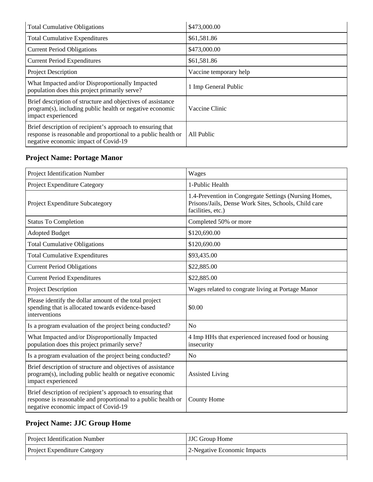| <b>Total Cumulative Obligations</b>                                                                                                                                 | \$473,000.00           |
|---------------------------------------------------------------------------------------------------------------------------------------------------------------------|------------------------|
| <b>Total Cumulative Expenditures</b>                                                                                                                                | \$61,581.86            |
| <b>Current Period Obligations</b>                                                                                                                                   | \$473,000.00           |
| <b>Current Period Expenditures</b>                                                                                                                                  | \$61,581.86            |
| <b>Project Description</b>                                                                                                                                          | Vaccine temporary help |
| What Impacted and/or Disproportionally Impacted<br>population does this project primarily serve?                                                                    | 1 Imp General Public   |
| Brief description of structure and objectives of assistance<br>program(s), including public health or negative economic<br>impact experienced                       | Vaccine Clinic         |
| Brief description of recipient's approach to ensuring that<br>response is reasonable and proportional to a public health or<br>negative economic impact of Covid-19 | All Public             |

### **Project Name: Portage Manor**

| Project Identification Number                                                                                                                                       | Wages                                                                                                                              |
|---------------------------------------------------------------------------------------------------------------------------------------------------------------------|------------------------------------------------------------------------------------------------------------------------------------|
| Project Expenditure Category                                                                                                                                        | 1-Public Health                                                                                                                    |
| Project Expenditure Subcategory                                                                                                                                     | 1.4-Prevention in Congregate Settings (Nursing Homes,<br>Prisons/Jails, Dense Work Sites, Schools, Child care<br>facilities, etc.) |
| <b>Status To Completion</b>                                                                                                                                         | Completed 50% or more                                                                                                              |
| <b>Adopted Budget</b>                                                                                                                                               | \$120,690.00                                                                                                                       |
| <b>Total Cumulative Obligations</b>                                                                                                                                 | \$120,690.00                                                                                                                       |
| <b>Total Cumulative Expenditures</b>                                                                                                                                | \$93,435.00                                                                                                                        |
| <b>Current Period Obligations</b>                                                                                                                                   | \$22,885.00                                                                                                                        |
| <b>Current Period Expenditures</b>                                                                                                                                  | \$22,885.00                                                                                                                        |
| Project Description                                                                                                                                                 | Wages related to congrate living at Portage Manor                                                                                  |
| Please identify the dollar amount of the total project<br>spending that is allocated towards evidence-based<br>interventions                                        | \$0.00                                                                                                                             |
| Is a program evaluation of the project being conducted?                                                                                                             | N <sub>o</sub>                                                                                                                     |
| What Impacted and/or Disproportionally Impacted<br>population does this project primarily serve?                                                                    | 4 Imp HHs that experienced increased food or housing<br>insecurity                                                                 |
| Is a program evaluation of the project being conducted?                                                                                                             | N <sub>o</sub>                                                                                                                     |
| Brief description of structure and objectives of assistance<br>program(s), including public health or negative economic<br>impact experienced                       | <b>Assisted Living</b>                                                                                                             |
| Brief description of recipient's approach to ensuring that<br>response is reasonable and proportional to a public health or<br>negative economic impact of Covid-19 | <b>County Home</b>                                                                                                                 |

### **Project Name: JJC Group Home**

| <b>Project Identification Number</b> | JJC Group Home              |
|--------------------------------------|-----------------------------|
| <b>Project Expenditure Category</b>  | 2-Negative Economic Impacts |
|                                      |                             |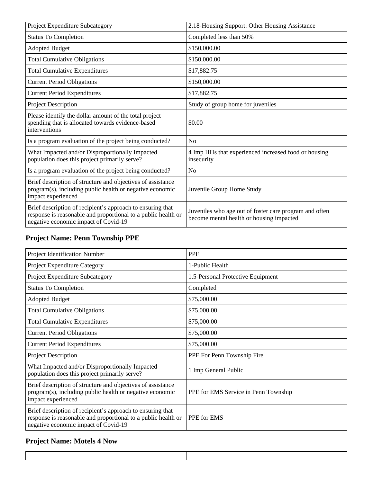| Project Expenditure Subcategory                                                                                                                                     | 2.18-Housing Support: Other Housing Assistance                                                     |
|---------------------------------------------------------------------------------------------------------------------------------------------------------------------|----------------------------------------------------------------------------------------------------|
| <b>Status To Completion</b>                                                                                                                                         | Completed less than 50%                                                                            |
| <b>Adopted Budget</b>                                                                                                                                               | \$150,000.00                                                                                       |
| <b>Total Cumulative Obligations</b>                                                                                                                                 | \$150,000.00                                                                                       |
| <b>Total Cumulative Expenditures</b>                                                                                                                                | \$17,882.75                                                                                        |
| <b>Current Period Obligations</b>                                                                                                                                   | \$150,000.00                                                                                       |
| <b>Current Period Expenditures</b>                                                                                                                                  | \$17,882.75                                                                                        |
| <b>Project Description</b>                                                                                                                                          | Study of group home for juveniles                                                                  |
| Please identify the dollar amount of the total project<br>spending that is allocated towards evidence-based<br>interventions                                        | \$0.00                                                                                             |
| Is a program evaluation of the project being conducted?                                                                                                             | N <sub>o</sub>                                                                                     |
| What Impacted and/or Disproportionally Impacted<br>population does this project primarily serve?                                                                    | 4 Imp HHs that experienced increased food or housing<br>insecurity                                 |
| Is a program evaluation of the project being conducted?                                                                                                             | N <sub>o</sub>                                                                                     |
| Brief description of structure and objectives of assistance<br>program(s), including public health or negative economic<br>impact experienced                       | Juvenile Group Home Study                                                                          |
| Brief description of recipient's approach to ensuring that<br>response is reasonable and proportional to a public health or<br>negative economic impact of Covid-19 | Juveniles who age out of foster care program and often<br>become mental health or housing impacted |

### **Project Name: Penn Township PPE**

| Project Identification Number                                                                                                                                       | <b>PPE</b>                           |
|---------------------------------------------------------------------------------------------------------------------------------------------------------------------|--------------------------------------|
| Project Expenditure Category                                                                                                                                        | 1-Public Health                      |
| Project Expenditure Subcategory                                                                                                                                     | 1.5-Personal Protective Equipment    |
| <b>Status To Completion</b>                                                                                                                                         | Completed                            |
| <b>Adopted Budget</b>                                                                                                                                               | \$75,000.00                          |
| <b>Total Cumulative Obligations</b>                                                                                                                                 | \$75,000.00                          |
| <b>Total Cumulative Expenditures</b>                                                                                                                                | \$75,000.00                          |
| <b>Current Period Obligations</b>                                                                                                                                   | \$75,000.00                          |
| <b>Current Period Expenditures</b>                                                                                                                                  | \$75,000.00                          |
| Project Description                                                                                                                                                 | PPE For Penn Township Fire           |
| What Impacted and/or Disproportionally Impacted<br>population does this project primarily serve?                                                                    | 1 Imp General Public                 |
| Brief description of structure and objectives of assistance<br>program(s), including public health or negative economic<br>impact experienced                       | PPE for EMS Service in Penn Township |
| Brief description of recipient's approach to ensuring that<br>response is reasonable and proportional to a public health or<br>negative economic impact of Covid-19 | PPE for EMS                          |

 $\mathbf{I}$ 

#### **Project Name: Motels 4 Now**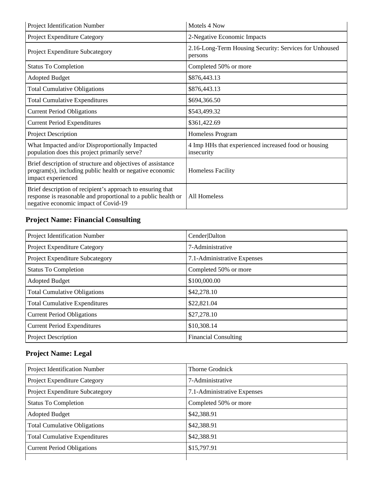| Project Identification Number                                                                                                                                       | Motels 4 Now                                                       |
|---------------------------------------------------------------------------------------------------------------------------------------------------------------------|--------------------------------------------------------------------|
| Project Expenditure Category                                                                                                                                        | 2-Negative Economic Impacts                                        |
| Project Expenditure Subcategory                                                                                                                                     | 2.16-Long-Term Housing Security: Services for Unhoused<br>persons  |
| <b>Status To Completion</b>                                                                                                                                         | Completed 50% or more                                              |
| <b>Adopted Budget</b>                                                                                                                                               | \$876,443.13                                                       |
| <b>Total Cumulative Obligations</b>                                                                                                                                 | \$876,443.13                                                       |
| <b>Total Cumulative Expenditures</b>                                                                                                                                | \$694,366.50                                                       |
| <b>Current Period Obligations</b>                                                                                                                                   | \$543,499.32                                                       |
| <b>Current Period Expenditures</b>                                                                                                                                  | \$361,422.69                                                       |
| <b>Project Description</b>                                                                                                                                          | Homeless Program                                                   |
| What Impacted and/or Disproportionally Impacted<br>population does this project primarily serve?                                                                    | 4 Imp HHs that experienced increased food or housing<br>insecurity |
| Brief description of structure and objectives of assistance<br>program(s), including public health or negative economic<br>impact experienced                       | <b>Homeless Facility</b>                                           |
| Brief description of recipient's approach to ensuring that<br>response is reasonable and proportional to a public health or<br>negative economic impact of Covid-19 | All Homeless                                                       |

### **Project Name: Financial Consulting**

| Project Identification Number        | Cender Dalton               |
|--------------------------------------|-----------------------------|
| Project Expenditure Category         | 7-Administrative            |
| Project Expenditure Subcategory      | 7.1-Administrative Expenses |
| <b>Status To Completion</b>          | Completed 50% or more       |
| <b>Adopted Budget</b>                | \$100,000.00                |
| <b>Total Cumulative Obligations</b>  | \$42,278.10                 |
| <b>Total Cumulative Expenditures</b> | \$22,821.04                 |
| <b>Current Period Obligations</b>    | \$27,278.10                 |
| <b>Current Period Expenditures</b>   | \$10,308.14                 |
| <b>Project Description</b>           | <b>Financial Consulting</b> |

### **Project Name: Legal**

| Project Identification Number        | Thorne Grodnick             |
|--------------------------------------|-----------------------------|
| Project Expenditure Category         | 7-Administrative            |
| Project Expenditure Subcategory      | 7.1-Administrative Expenses |
| <b>Status To Completion</b>          | Completed 50% or more       |
| <b>Adopted Budget</b>                | \$42,388.91                 |
| <b>Total Cumulative Obligations</b>  | \$42,388.91                 |
| <b>Total Cumulative Expenditures</b> | \$42,388.91                 |
| <b>Current Period Obligations</b>    | \$15,797.91                 |
|                                      |                             |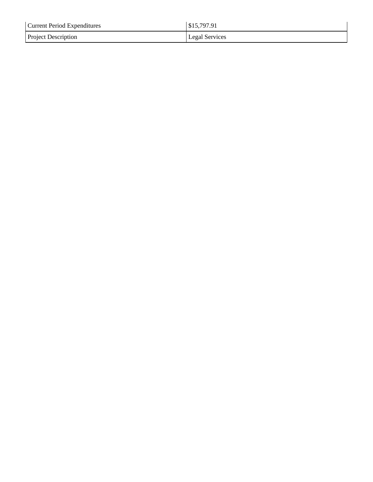| <b>Current Period Expenditures</b> | \$15,797.91    |
|------------------------------------|----------------|
| <b>Project Description</b>         | Legal Services |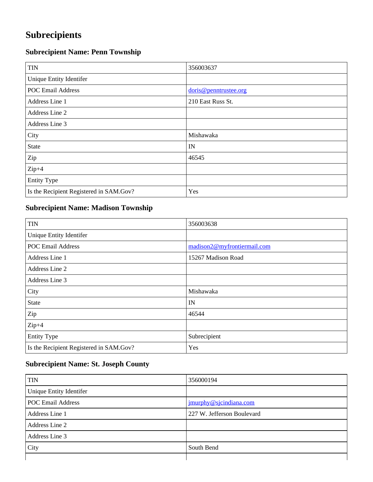## **Subrecipients**

### **Subrecipient Name: Penn Township**

| <b>TIN</b>                              | 356003637             |
|-----------------------------------------|-----------------------|
| Unique Entity Identifer                 |                       |
| <b>POC Email Address</b>                | doris@penntrustee.org |
| Address Line 1                          | 210 East Russ St.     |
| Address Line 2                          |                       |
| Address Line 3                          |                       |
| City                                    | Mishawaka             |
| State                                   | IN                    |
| Zip                                     | 46545                 |
| $Zip+4$                                 |                       |
| <b>Entity Type</b>                      |                       |
| Is the Recipient Registered in SAM.Gov? | Yes                   |

#### **Subrecipient Name: Madison Township**

| <b>TIN</b>                              | 356003638                   |
|-----------------------------------------|-----------------------------|
| Unique Entity Identifer                 |                             |
| <b>POC Email Address</b>                | madison2@myfrontiermail.com |
| Address Line 1                          | 15267 Madison Road          |
| Address Line 2                          |                             |
| Address Line 3                          |                             |
| City                                    | Mishawaka                   |
| <b>State</b>                            | IN                          |
| Zip                                     | 46544                       |
| $Zip+4$                                 |                             |
| <b>Entity Type</b>                      | Subrecipient                |
| Is the Recipient Registered in SAM.Gov? | Yes                         |

#### **Subrecipient Name: St. Joseph County**

| <b>TIN</b>               | 356000194                  |
|--------------------------|----------------------------|
| Unique Entity Identifer  |                            |
| <b>POC Email Address</b> | i jmurphy@sjcindiana.com   |
| Address Line 1           | 227 W. Jefferson Boulevard |
| Address Line 2           |                            |
| Address Line 3           |                            |
| City                     | South Bend                 |
|                          |                            |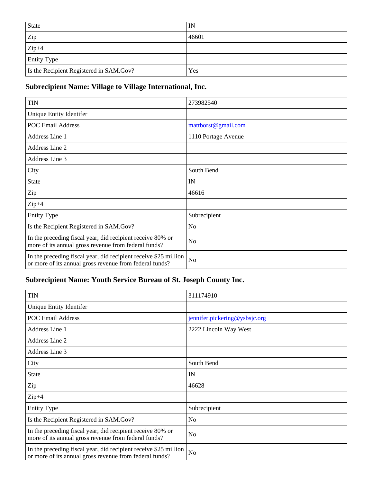| <b>State</b>                            | IN    |
|-----------------------------------------|-------|
| Zip                                     | 46601 |
| $Zip+4$                                 |       |
| <b>Entity Type</b>                      |       |
| Is the Recipient Registered in SAM.Gov? | Yes   |

#### **Subrecipient Name: Village to Village International, Inc.**

| <b>TIN</b>                                                                                                                  | 273982540           |
|-----------------------------------------------------------------------------------------------------------------------------|---------------------|
| Unique Entity Identifer                                                                                                     |                     |
| <b>POC Email Address</b>                                                                                                    | mattborst@gmail.com |
| Address Line 1                                                                                                              | 1110 Portage Avenue |
| Address Line 2                                                                                                              |                     |
| Address Line 3                                                                                                              |                     |
| City                                                                                                                        | South Bend          |
| <b>State</b>                                                                                                                | IN                  |
| Zip                                                                                                                         | 46616               |
| $Zip+4$                                                                                                                     |                     |
| <b>Entity Type</b>                                                                                                          | Subrecipient        |
| Is the Recipient Registered in SAM.Gov?                                                                                     | N <sub>o</sub>      |
| In the preceding fiscal year, did recipient receive 80% or<br>more of its annual gross revenue from federal funds?          | N <sub>o</sub>      |
| In the preceding fiscal year, did recipient receive \$25 million<br>or more of its annual gross revenue from federal funds? | N <sub>o</sub>      |

### **Subrecipient Name: Youth Service Bureau of St. Joseph County Inc.**

| <b>TIN</b>                                                                                                                  | 311174910                     |
|-----------------------------------------------------------------------------------------------------------------------------|-------------------------------|
| Unique Entity Identifer                                                                                                     |                               |
| <b>POC Email Address</b>                                                                                                    | jennifer.pickering@ysbsjc.org |
| Address Line 1                                                                                                              | 2222 Lincoln Way West         |
| Address Line 2                                                                                                              |                               |
| Address Line 3                                                                                                              |                               |
| City                                                                                                                        | South Bend                    |
| <b>State</b>                                                                                                                | IN                            |
| Zip                                                                                                                         | 46628                         |
| $Zip+4$                                                                                                                     |                               |
| <b>Entity Type</b>                                                                                                          | Subrecipient                  |
| Is the Recipient Registered in SAM.Gov?                                                                                     | N <sub>o</sub>                |
| In the preceding fiscal year, did recipient receive 80% or<br>more of its annual gross revenue from federal funds?          | N <sub>o</sub>                |
| In the preceding fiscal year, did recipient receive \$25 million<br>or more of its annual gross revenue from federal funds? | No                            |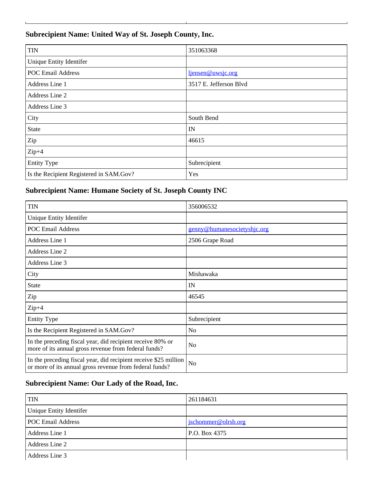#### **Subrecipient Name: United Way of St. Joseph County, Inc.**

the contract of the contract of the contract of

| <b>TIN</b>                              | 351063368              |
|-----------------------------------------|------------------------|
| Unique Entity Identifer                 |                        |
| <b>POC Email Address</b>                | ljensen@uwsjc.org      |
| Address Line 1                          | 3517 E. Jefferson Blvd |
| Address Line 2                          |                        |
| Address Line 3                          |                        |
| City                                    | South Bend             |
| <b>State</b>                            | IN                     |
| Zip                                     | 46615                  |
| $Zip+4$                                 |                        |
| <b>Entity Type</b>                      | Subrecipient           |
| Is the Recipient Registered in SAM.Gov? | Yes                    |

#### **Subrecipient Name: Humane Society of St. Joseph County INC**

| <b>TIN</b>                                                                                                                  | 356006532                   |
|-----------------------------------------------------------------------------------------------------------------------------|-----------------------------|
| Unique Entity Identifer                                                                                                     |                             |
| <b>POC Email Address</b>                                                                                                    | genny@humanesocietyshjc.org |
| Address Line 1                                                                                                              | 2506 Grape Road             |
| Address Line 2                                                                                                              |                             |
| Address Line 3                                                                                                              |                             |
| City                                                                                                                        | Mishawaka                   |
| <b>State</b>                                                                                                                | IN                          |
| Zip                                                                                                                         | 46545                       |
| $Zip+4$                                                                                                                     |                             |
| <b>Entity Type</b>                                                                                                          | Subrecipient                |
| Is the Recipient Registered in SAM.Gov?                                                                                     | N <sub>o</sub>              |
| In the preceding fiscal year, did recipient receive 80% or<br>more of its annual gross revenue from federal funds?          | N <sub>o</sub>              |
| In the preceding fiscal year, did recipient receive \$25 million<br>or more of its annual gross revenue from federal funds? | N <sub>o</sub>              |

#### **Subrecipient Name: Our Lady of the Road, Inc.**

| <b>TIN</b>               | 261184631           |
|--------------------------|---------------------|
| Unique Entity Identifer  |                     |
| <b>POC Email Address</b> | jschommer@olrsb.org |
| Address Line 1           | P.O. Box 4375       |
| Address Line 2           |                     |
| Address Line 3           |                     |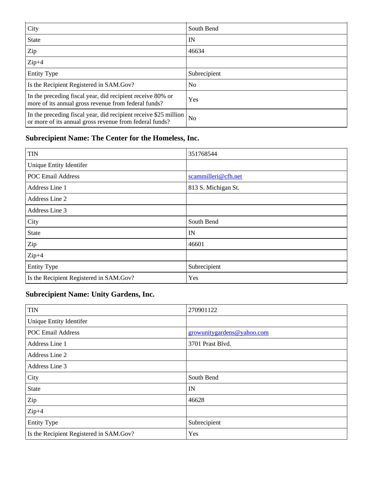| City                                                                                                                        | South Bend     |
|-----------------------------------------------------------------------------------------------------------------------------|----------------|
| <b>State</b>                                                                                                                | IN             |
| Zip                                                                                                                         | 46634          |
| $Zip+4$                                                                                                                     |                |
| <b>Entity Type</b>                                                                                                          | Subrecipient   |
| Is the Recipient Registered in SAM.Gov?                                                                                     | N <sub>0</sub> |
| In the preceding fiscal year, did recipient receive 80% or<br>more of its annual gross revenue from federal funds?          | Yes            |
| In the preceding fiscal year, did recipient receive \$25 million<br>or more of its annual gross revenue from federal funds? | N <sub>0</sub> |

### **Subrecipient Name: The Center for the Homeless, Inc.**

| <b>TIN</b>                              | 351768544           |
|-----------------------------------------|---------------------|
| <b>Unique Entity Identifer</b>          |                     |
| <b>POC Email Address</b>                | scammilleri@cfh.net |
| Address Line 1                          | 813 S. Michigan St. |
| Address Line 2                          |                     |
| Address Line 3                          |                     |
| City                                    | South Bend          |
| <b>State</b>                            | IN                  |
| Zip                                     | 46601               |
| $Zip+4$                                 |                     |
| <b>Entity Type</b>                      | Subrecipient        |
| Is the Recipient Registered in SAM.Gov? | Yes                 |

#### **Subrecipient Name: Unity Gardens, Inc.**

| <b>TIN</b>                              | 270901122                  |
|-----------------------------------------|----------------------------|
| Unique Entity Identifer                 |                            |
| <b>POC Email Address</b>                | growunitygardens@yahoo.com |
| Address Line 1                          | 3701 Prast Blvd.           |
| Address Line 2                          |                            |
| Address Line 3                          |                            |
| City                                    | South Bend                 |
| <b>State</b>                            | IN                         |
| Zip                                     | 46628                      |
| $Zip+4$                                 |                            |
| <b>Entity Type</b>                      | Subrecipient               |
| Is the Recipient Registered in SAM.Gov? | Yes                        |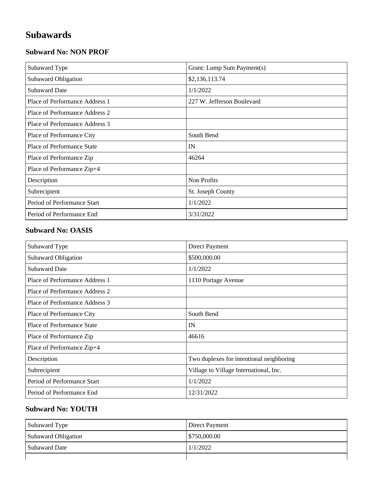## **Subawards**

#### **Subward No: NON PROF**

| Subaward Type                  | Grant: Lump Sum Payment(s) |
|--------------------------------|----------------------------|
| Subaward Obligation            | \$2,136,113.74             |
| <b>Subaward Date</b>           | 1/1/2022                   |
| Place of Performance Address 1 | 227 W. Jefferson Boulevard |
| Place of Performance Address 2 |                            |
| Place of Performance Address 3 |                            |
| Place of Performance City      | South Bend                 |
| Place of Performance State     | IN                         |
| Place of Performance Zip       | 46264                      |
| Place of Performance Zip+4     |                            |
| Description                    | Non Profits                |
| Subrecipient                   | St. Joseph County          |
| Period of Performance Start    | 1/1/2022                   |
| Period of Performance End      | 3/31/2022                  |

#### **Subward No: OASIS**

| Subaward Type                     | Direct Payment                           |
|-----------------------------------|------------------------------------------|
| Subaward Obligation               | \$500,000.00                             |
| <b>Subaward Date</b>              | 1/1/2022                                 |
| Place of Performance Address 1    | 1110 Portage Avenue                      |
| Place of Performance Address 2    |                                          |
| Place of Performance Address 3    |                                          |
| Place of Performance City         | South Bend                               |
| <b>Place of Performance State</b> | IN                                       |
| Place of Performance Zip          | 46616                                    |
| Place of Performance Zip+4        |                                          |
| Description                       | Two duplexes for intentional neighboring |
| Subrecipient                      | Village to Village International, Inc.   |
| Period of Performance Start       | 1/1/2022                                 |
| Period of Performance End         | 12/31/2022                               |

#### **Subward No: YOUTH**

| Subaward Type       | Direct Payment |
|---------------------|----------------|
| Subaward Obligation | \$750,000.00   |
| Subaward Date       | 1/1/2022       |
|                     |                |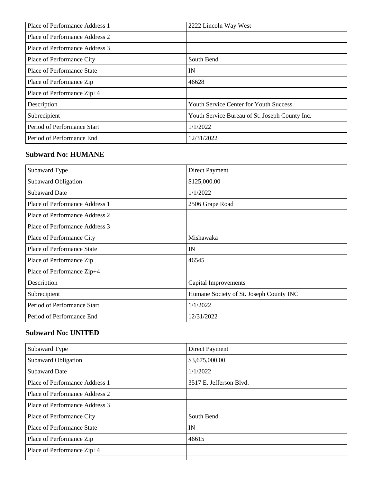| Place of Performance Address 1 | 2222 Lincoln Way West                          |
|--------------------------------|------------------------------------------------|
| Place of Performance Address 2 |                                                |
| Place of Performance Address 3 |                                                |
| Place of Performance City      | South Bend                                     |
| Place of Performance State     | IN                                             |
| Place of Performance Zip       | 46628                                          |
| Place of Performance Zip+4     |                                                |
| Description                    | <b>Youth Service Center for Youth Success</b>  |
| Subrecipient                   | Youth Service Bureau of St. Joseph County Inc. |
| Period of Performance Start    | 1/1/2022                                       |
| Period of Performance End      | 12/31/2022                                     |

#### **Subward No: HUMANE**

| Subaward Type                  | Direct Payment                          |
|--------------------------------|-----------------------------------------|
| <b>Subaward Obligation</b>     | \$125,000.00                            |
| <b>Subaward Date</b>           | 1/1/2022                                |
| Place of Performance Address 1 | 2506 Grape Road                         |
| Place of Performance Address 2 |                                         |
| Place of Performance Address 3 |                                         |
| Place of Performance City      | Mishawaka                               |
| Place of Performance State     | IN                                      |
| Place of Performance Zip       | 46545                                   |
| Place of Performance Zip+4     |                                         |
| Description                    | <b>Capital Improvements</b>             |
| Subrecipient                   | Humane Society of St. Joseph County INC |
| Period of Performance Start    | 1/1/2022                                |
| Period of Performance End      | 12/31/2022                              |

#### **Subward No: UNITED**

| Subaward Type                  | <b>Direct Payment</b>   |
|--------------------------------|-------------------------|
| <b>Subaward Obligation</b>     | \$3,675,000.00          |
| <b>Subaward Date</b>           | 1/1/2022                |
| Place of Performance Address 1 | 3517 E. Jefferson Blvd. |
| Place of Performance Address 2 |                         |
| Place of Performance Address 3 |                         |
| Place of Performance City      | South Bend              |
| Place of Performance State     | IN                      |
| Place of Performance Zip       | 46615                   |
| Place of Performance Zip+4     |                         |
|                                |                         |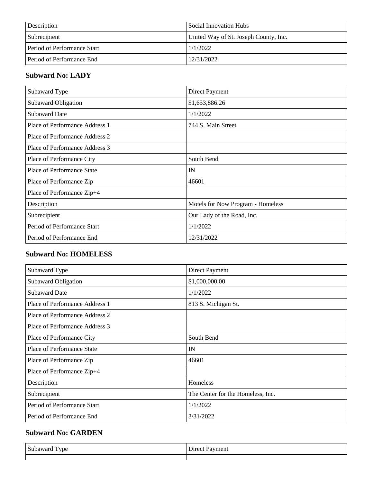| Description                      | Social Innovation Hubs                |
|----------------------------------|---------------------------------------|
| Subrecipient                     | United Way of St. Joseph County, Inc. |
| Period of Performance Start      | 1/1/2022                              |
| <b>Period of Performance End</b> | 12/31/2022                            |

#### **Subward No: LADY**

| Subaward Type                  | Direct Payment                    |
|--------------------------------|-----------------------------------|
| Subaward Obligation            | \$1,653,886.26                    |
| <b>Subaward Date</b>           | 1/1/2022                          |
| Place of Performance Address 1 | 744 S. Main Street                |
| Place of Performance Address 2 |                                   |
| Place of Performance Address 3 |                                   |
| Place of Performance City      | South Bend                        |
| Place of Performance State     | IN                                |
| Place of Performance Zip       | 46601                             |
| Place of Performance Zip+4     |                                   |
| Description                    | Motels for Now Program - Homeless |
| Subrecipient                   | Our Lady of the Road, Inc.        |
| Period of Performance Start    | 1/1/2022                          |
| Period of Performance End      | 12/31/2022                        |

#### **Subward No: HOMELESS**

| Subaward Type                  | <b>Direct Payment</b>             |
|--------------------------------|-----------------------------------|
| Subaward Obligation            | \$1,000,000.00                    |
| <b>Subaward Date</b>           | 1/1/2022                          |
| Place of Performance Address 1 | 813 S. Michigan St.               |
| Place of Performance Address 2 |                                   |
| Place of Performance Address 3 |                                   |
| Place of Performance City      | South Bend                        |
| Place of Performance State     | IN                                |
| Place of Performance Zip       | 46601                             |
| Place of Performance Zip+4     |                                   |
| Description                    | Homeless                          |
| Subrecipient                   | The Center for the Homeless, Inc. |
| Period of Performance Start    | 1/1/2022                          |
| Period of Performance End      | 3/31/2022                         |

#### **Subward No: GARDEN**

| c                | ment       |
|------------------|------------|
| <b>THANTIOUS</b> | $hr\alpha$ |
| ype              | -          |
| va.              |            |
| ∼                |            |
|                  |            |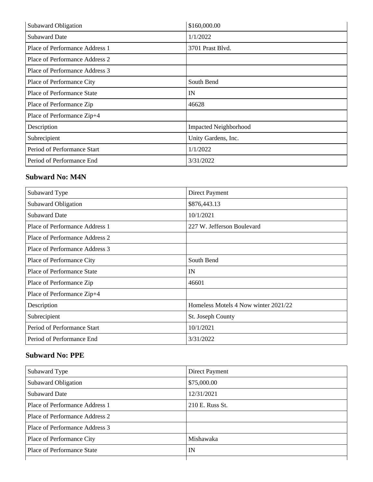| Subaward Obligation            | \$160,000.00                 |
|--------------------------------|------------------------------|
| <b>Subaward Date</b>           | 1/1/2022                     |
| Place of Performance Address 1 | 3701 Prast Blvd.             |
| Place of Performance Address 2 |                              |
| Place of Performance Address 3 |                              |
| Place of Performance City      | South Bend                   |
| Place of Performance State     | IN                           |
| Place of Performance Zip       | 46628                        |
| Place of Performance Zip+4     |                              |
| Description                    | <b>Impacted Neighborhood</b> |
| Subrecipient                   | Unity Gardens, Inc.          |
| Period of Performance Start    | 1/1/2022                     |
| Period of Performance End      | 3/31/2022                    |

#### **Subward No: M4N**

| Subaward Type                  | <b>Direct Payment</b>                |
|--------------------------------|--------------------------------------|
| Subaward Obligation            | \$876,443.13                         |
| <b>Subaward Date</b>           | 10/1/2021                            |
| Place of Performance Address 1 | 227 W. Jefferson Boulevard           |
| Place of Performance Address 2 |                                      |
| Place of Performance Address 3 |                                      |
| Place of Performance City      | South Bend                           |
| Place of Performance State     | IN                                   |
| Place of Performance Zip       | 46601                                |
| Place of Performance Zip+4     |                                      |
| Description                    | Homeless Motels 4 Now winter 2021/22 |
| Subrecipient                   | St. Joseph County                    |
| Period of Performance Start    | 10/1/2021                            |
| Period of Performance End      | 3/31/2022                            |

#### **Subward No: PPE**

| Subaward Type                  | Direct Payment  |
|--------------------------------|-----------------|
| Subaward Obligation            | \$75,000.00     |
| <b>Subaward Date</b>           | 12/31/2021      |
| Place of Performance Address 1 | 210 E. Russ St. |
| Place of Performance Address 2 |                 |
| Place of Performance Address 3 |                 |
| Place of Performance City      | Mishawaka       |
| Place of Performance State     | IN              |
|                                |                 |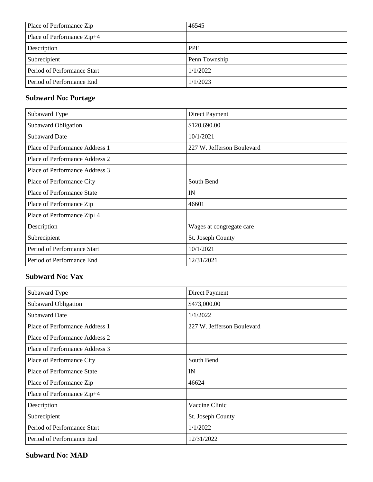| Place of Performance Zip    | 46545         |
|-----------------------------|---------------|
| Place of Performance Zip+4  |               |
| Description                 | <b>PPE</b>    |
| Subrecipient                | Penn Township |
| Period of Performance Start | 1/1/2022      |
| Period of Performance End   | 1/1/2023      |

#### **Subward No: Portage**

| Subaward Type                  | Direct Payment             |
|--------------------------------|----------------------------|
| Subaward Obligation            | \$120,690.00               |
| <b>Subaward Date</b>           | 10/1/2021                  |
| Place of Performance Address 1 | 227 W. Jefferson Boulevard |
| Place of Performance Address 2 |                            |
| Place of Performance Address 3 |                            |
| Place of Performance City      | South Bend                 |
| Place of Performance State     | IN                         |
| Place of Performance Zip       | 46601                      |
| Place of Performance Zip+4     |                            |
| Description                    | Wages at congregate care   |
| Subrecipient                   | St. Joseph County          |
| Period of Performance Start    | 10/1/2021                  |
| Period of Performance End      | 12/31/2021                 |

#### **Subward No: Vax**

| Subaward Type                     | Direct Payment             |
|-----------------------------------|----------------------------|
| Subaward Obligation               | \$473,000.00               |
| <b>Subaward Date</b>              | 1/1/2022                   |
| Place of Performance Address 1    | 227 W. Jefferson Boulevard |
| Place of Performance Address 2    |                            |
| Place of Performance Address 3    |                            |
| Place of Performance City         | South Bend                 |
| <b>Place of Performance State</b> | IN                         |
| Place of Performance Zip          | 46624                      |
| Place of Performance Zip+4        |                            |
| Description                       | Vaccine Clinic             |
| Subrecipient                      | St. Joseph County          |
| Period of Performance Start       | 1/1/2022                   |
| Period of Performance End         | 12/31/2022                 |

#### **Subward No: MAD**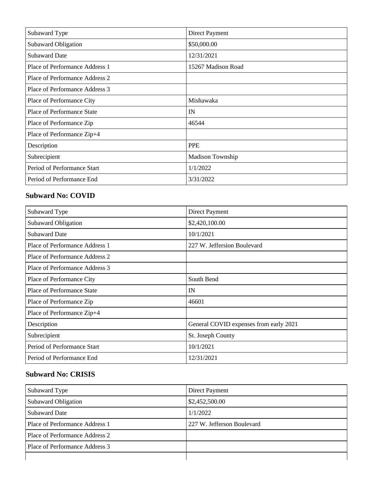| Subaward Type                  | Direct Payment     |
|--------------------------------|--------------------|
| Subaward Obligation            | \$50,000.00        |
| <b>Subaward Date</b>           | 12/31/2021         |
| Place of Performance Address 1 | 15267 Madison Road |
| Place of Performance Address 2 |                    |
| Place of Performance Address 3 |                    |
| Place of Performance City      | Mishawaka          |
| Place of Performance State     | IN                 |
| Place of Performance Zip       | 46544              |
| Place of Performance Zip+4     |                    |
| Description                    | <b>PPE</b>         |
| Subrecipient                   | Madison Township   |
| Period of Performance Start    | 1/1/2022           |
| Period of Performance End      | 3/31/2022          |

#### **Subward No: COVID**

| Subaward Type                  | <b>Direct Payment</b>                  |
|--------------------------------|----------------------------------------|
| Subaward Obligation            | \$2,420,100.00                         |
| <b>Subaward Date</b>           | 10/1/2021                              |
| Place of Performance Address 1 | 227 W. Jeffersion Boulevard            |
| Place of Performance Address 2 |                                        |
| Place of Performance Address 3 |                                        |
| Place of Performance City      | South Bend                             |
| Place of Performance State     | IN                                     |
| Place of Performance Zip       | 46601                                  |
| Place of Performance Zip+4     |                                        |
| Description                    | General COVID expenses from early 2021 |
| Subrecipient                   | St. Joseph County                      |
| Period of Performance Start    | 10/1/2021                              |
| Period of Performance End      | 12/31/2021                             |

#### **Subward No: CRISIS**

| Subaward Type                  | Direct Payment             |
|--------------------------------|----------------------------|
| Subaward Obligation            | \$2,452,500.00             |
| <b>Subaward Date</b>           | 1/1/2022                   |
| Place of Performance Address 1 | 227 W. Jefferson Boulevard |
| Place of Performance Address 2 |                            |
| Place of Performance Address 3 |                            |
|                                |                            |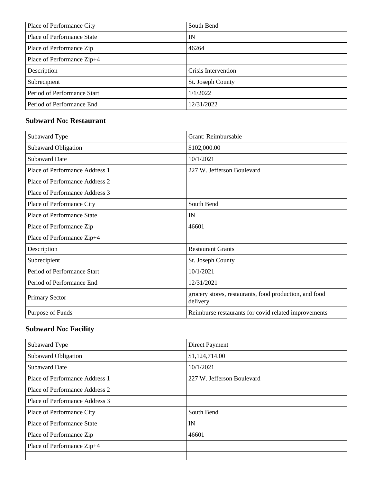| Place of Performance City   | South Bend          |
|-----------------------------|---------------------|
| Place of Performance State  | IN                  |
| Place of Performance Zip    | 46264               |
| Place of Performance Zip+4  |                     |
| Description                 | Crisis Intervention |
| Subrecipient                | St. Joseph County   |
| Period of Performance Start | 1/1/2022            |
| Period of Performance End   | 12/31/2022          |

#### **Subward No: Restaurant**

| Subaward Type                  | Grant: Reimbursable                                                |
|--------------------------------|--------------------------------------------------------------------|
| Subaward Obligation            | \$102,000.00                                                       |
| <b>Subaward Date</b>           | 10/1/2021                                                          |
| Place of Performance Address 1 | 227 W. Jefferson Boulevard                                         |
| Place of Performance Address 2 |                                                                    |
| Place of Performance Address 3 |                                                                    |
| Place of Performance City      | South Bend                                                         |
| Place of Performance State     | IN                                                                 |
| Place of Performance Zip       | 46601                                                              |
| Place of Performance Zip+4     |                                                                    |
| Description                    | <b>Restaurant Grants</b>                                           |
| Subrecipient                   | St. Joseph County                                                  |
| Period of Performance Start    | 10/1/2021                                                          |
| Period of Performance End      | 12/31/2021                                                         |
| <b>Primary Sector</b>          | grocery stores, restaurants, food production, and food<br>delivery |
| Purpose of Funds               | Reimburse restaurants for covid related improvements               |

### **Subward No: Facility**

| Subaward Type                  | Direct Payment             |
|--------------------------------|----------------------------|
| Subaward Obligation            | \$1,124,714.00             |
| <b>Subaward Date</b>           | 10/1/2021                  |
| Place of Performance Address 1 | 227 W. Jefferson Boulevard |
| Place of Performance Address 2 |                            |
| Place of Performance Address 3 |                            |
| Place of Performance City      | South Bend                 |
| Place of Performance State     | IN                         |
| Place of Performance Zip       | 46601                      |
| Place of Performance Zip+4     |                            |
|                                |                            |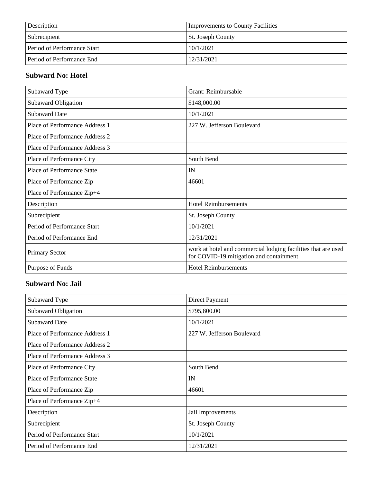| Description                      | <b>Improvements to County Facilities</b> |
|----------------------------------|------------------------------------------|
| Subrecipient                     | <b>St. Joseph County</b>                 |
| Period of Performance Start      | 10/1/2021                                |
| <b>Period of Performance End</b> | 12/31/2021                               |

#### **Subward No: Hotel**

| Subaward Type                  | Grant: Reimbursable                                                                                      |
|--------------------------------|----------------------------------------------------------------------------------------------------------|
| Subaward Obligation            | \$148,000.00                                                                                             |
| <b>Subaward Date</b>           | 10/1/2021                                                                                                |
| Place of Performance Address 1 | 227 W. Jefferson Boulevard                                                                               |
| Place of Performance Address 2 |                                                                                                          |
| Place of Performance Address 3 |                                                                                                          |
| Place of Performance City      | South Bend                                                                                               |
| Place of Performance State     | IN                                                                                                       |
| Place of Performance Zip       | 46601                                                                                                    |
| Place of Performance Zip+4     |                                                                                                          |
| Description                    | <b>Hotel Reimbursements</b>                                                                              |
| Subrecipient                   | St. Joseph County                                                                                        |
| Period of Performance Start    | 10/1/2021                                                                                                |
| Period of Performance End      | 12/31/2021                                                                                               |
| <b>Primary Sector</b>          | work at hotel and commercial lodging facilities that are used<br>for COVID-19 mitigation and containment |
| Purpose of Funds               | <b>Hotel Reimbursements</b>                                                                              |

#### **Subward No: Jail**

| Subaward Type                  | Direct Payment             |
|--------------------------------|----------------------------|
| Subaward Obligation            | \$795,800.00               |
| <b>Subaward Date</b>           | 10/1/2021                  |
| Place of Performance Address 1 | 227 W. Jefferson Boulevard |
| Place of Performance Address 2 |                            |
| Place of Performance Address 3 |                            |
| Place of Performance City      | South Bend                 |
| Place of Performance State     | IN                         |
| Place of Performance Zip       | 46601                      |
| Place of Performance Zip+4     |                            |
| Description                    | Jail Improvements          |
| Subrecipient                   | St. Joseph County          |
| Period of Performance Start    | 10/1/2021                  |
| Period of Performance End      | 12/31/2021                 |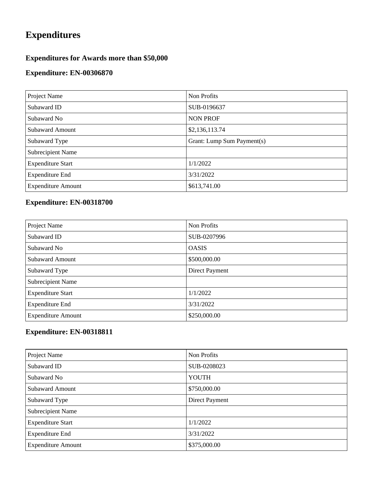## **Expenditures**

#### **Expenditures for Awards more than \$50,000**

#### **Expenditure: EN-00306870**

| Project Name              | Non Profits                |
|---------------------------|----------------------------|
| Subaward ID               | SUB-0196637                |
| Subaward No               | <b>NON PROF</b>            |
| <b>Subaward Amount</b>    | \$2,136,113.74             |
| Subaward Type             | Grant: Lump Sum Payment(s) |
| Subrecipient Name         |                            |
| <b>Expenditure Start</b>  | 1/1/2022                   |
| <b>Expenditure End</b>    | 3/31/2022                  |
| <b>Expenditure Amount</b> | \$613,741.00               |

### **Expenditure: EN-00318700**

| Project Name              | Non Profits    |
|---------------------------|----------------|
| Subaward ID               | SUB-0207996    |
| Subaward No               | <b>OASIS</b>   |
| <b>Subaward Amount</b>    | \$500,000.00   |
| Subaward Type             | Direct Payment |
| Subrecipient Name         |                |
| <b>Expenditure Start</b>  | 1/1/2022       |
| <b>Expenditure End</b>    | 3/31/2022      |
| <b>Expenditure Amount</b> | \$250,000.00   |

| Project Name              | Non Profits    |
|---------------------------|----------------|
| Subaward ID               | SUB-0208023    |
| Subaward No               | YOUTH          |
| <b>Subaward Amount</b>    | \$750,000.00   |
| Subaward Type             | Direct Payment |
| Subrecipient Name         |                |
| <b>Expenditure Start</b>  | 1/1/2022       |
| <b>Expenditure End</b>    | 3/31/2022      |
| <b>Expenditure Amount</b> | \$375,000.00   |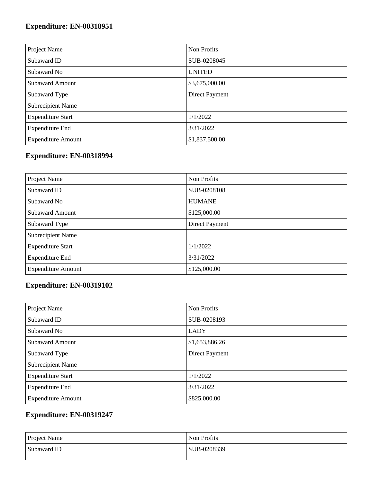| Project Name              | Non Profits    |
|---------------------------|----------------|
| Subaward ID               | SUB-0208045    |
| Subaward No               | <b>UNITED</b>  |
| <b>Subaward Amount</b>    | \$3,675,000.00 |
| Subaward Type             | Direct Payment |
| Subrecipient Name         |                |
| <b>Expenditure Start</b>  | 1/1/2022       |
| <b>Expenditure End</b>    | 3/31/2022      |
| <b>Expenditure Amount</b> | \$1,837,500.00 |

### **Expenditure: EN-00318994**

| Project Name              | Non Profits           |
|---------------------------|-----------------------|
| Subaward ID               | SUB-0208108           |
| Subaward No               | <b>HUMANE</b>         |
| <b>Subaward Amount</b>    | \$125,000.00          |
| Subaward Type             | <b>Direct Payment</b> |
| Subrecipient Name         |                       |
| <b>Expenditure Start</b>  | 1/1/2022              |
| <b>Expenditure End</b>    | 3/31/2022             |
| <b>Expenditure Amount</b> | \$125,000.00          |

#### **Expenditure: EN-00319102**

| Project Name              | Non Profits    |
|---------------------------|----------------|
| Subaward ID               | SUB-0208193    |
| Subaward No               | <b>LADY</b>    |
| <b>Subaward Amount</b>    | \$1,653,886.26 |
| Subaward Type             | Direct Payment |
| Subrecipient Name         |                |
| <b>Expenditure Start</b>  | 1/1/2022       |
| <b>Expenditure End</b>    | 3/31/2022      |
| <b>Expenditure Amount</b> | \$825,000.00   |

| <b>Project Name</b> | Non Profits |
|---------------------|-------------|
| Subaward ID         | SUB-0208339 |
|                     |             |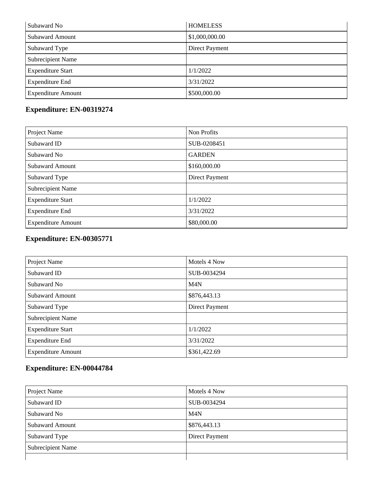| Subaward No               | <b>HOMELESS</b> |
|---------------------------|-----------------|
| <b>Subaward Amount</b>    | \$1,000,000.00  |
| Subaward Type             | Direct Payment  |
| <b>Subrecipient Name</b>  |                 |
| <b>Expenditure Start</b>  | 1/1/2022        |
| <b>Expenditure End</b>    | 3/31/2022       |
| <b>Expenditure Amount</b> | \$500,000.00    |

| Project Name              | Non Profits    |
|---------------------------|----------------|
| Subaward ID               | SUB-0208451    |
| Subaward No               | <b>GARDEN</b>  |
| <b>Subaward Amount</b>    | \$160,000.00   |
| Subaward Type             | Direct Payment |
| Subrecipient Name         |                |
| <b>Expenditure Start</b>  | 1/1/2022       |
| <b>Expenditure End</b>    | 3/31/2022      |
| <b>Expenditure Amount</b> | \$80,000.00    |

#### **Expenditure: EN-00305771**

| Project Name              | Motels 4 Now     |
|---------------------------|------------------|
| Subaward ID               | SUB-0034294      |
| Subaward No               | M <sub>4</sub> N |
| <b>Subaward Amount</b>    | \$876,443.13     |
| Subaward Type             | Direct Payment   |
| Subrecipient Name         |                  |
| <b>Expenditure Start</b>  | 1/1/2022         |
| <b>Expenditure End</b>    | 3/31/2022        |
| <b>Expenditure Amount</b> | \$361,422.69     |

| Project Name             | Motels 4 Now     |
|--------------------------|------------------|
| Subaward ID              | SUB-0034294      |
| Subaward No              | M <sub>4</sub> N |
| <b>Subaward Amount</b>   | \$876,443.13     |
| Subaward Type            | Direct Payment   |
| <b>Subrecipient Name</b> |                  |
|                          |                  |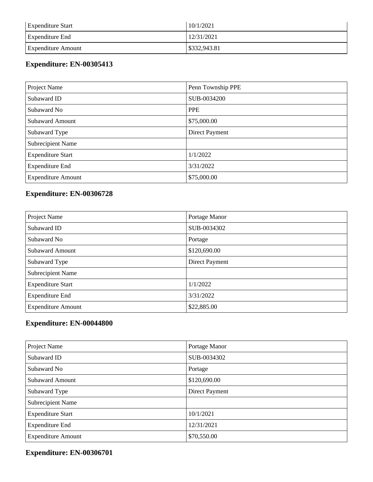| <b>Expenditure Start</b>  | 10/1/2021    |
|---------------------------|--------------|
| <b>Expenditure End</b>    | 12/31/2021   |
| <b>Expenditure Amount</b> | \$332,943.81 |

| Project Name              | Penn Township PPE |
|---------------------------|-------------------|
| Subaward ID               | SUB-0034200       |
| Subaward No               | <b>PPE</b>        |
| <b>Subaward Amount</b>    | \$75,000.00       |
| Subaward Type             | Direct Payment    |
| Subrecipient Name         |                   |
| <b>Expenditure Start</b>  | 1/1/2022          |
| <b>Expenditure End</b>    | 3/31/2022         |
| <b>Expenditure Amount</b> | \$75,000.00       |

#### **Expenditure: EN-00306728**

| Project Name              | Portage Manor  |
|---------------------------|----------------|
| Subaward ID               | SUB-0034302    |
| Subaward No               | Portage        |
| <b>Subaward Amount</b>    | \$120,690.00   |
| Subaward Type             | Direct Payment |
| Subrecipient Name         |                |
| <b>Expenditure Start</b>  | 1/1/2022       |
| <b>Expenditure End</b>    | 3/31/2022      |
| <b>Expenditure Amount</b> | \$22,885.00    |

#### **Expenditure: EN-00044800**

| Project Name              | Portage Manor  |
|---------------------------|----------------|
| Subaward ID               | SUB-0034302    |
| Subaward No               | Portage        |
| <b>Subaward Amount</b>    | \$120,690.00   |
| Subaward Type             | Direct Payment |
| Subrecipient Name         |                |
| <b>Expenditure Start</b>  | 10/1/2021      |
| <b>Expenditure End</b>    | 12/31/2021     |
| <b>Expenditure Amount</b> | \$70,550.00    |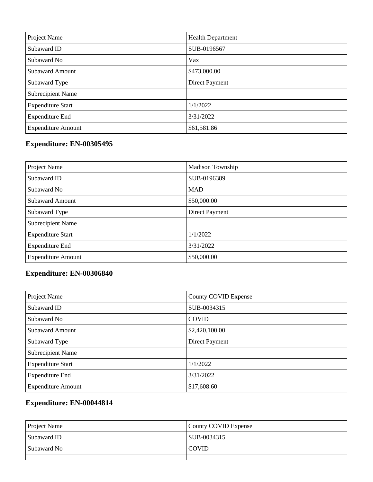| Project Name              | <b>Health Department</b> |
|---------------------------|--------------------------|
| Subaward ID               | SUB-0196567              |
| Subaward No               | Vax                      |
| <b>Subaward Amount</b>    | \$473,000.00             |
| Subaward Type             | Direct Payment           |
| Subrecipient Name         |                          |
| <b>Expenditure Start</b>  | 1/1/2022                 |
| <b>Expenditure End</b>    | 3/31/2022                |
| <b>Expenditure Amount</b> | \$61,581.86              |

| Project Name              | <b>Madison Township</b> |
|---------------------------|-------------------------|
| Subaward ID               | SUB-0196389             |
| Subaward No               | <b>MAD</b>              |
| <b>Subaward Amount</b>    | \$50,000.00             |
| Subaward Type             | Direct Payment          |
| Subrecipient Name         |                         |
| <b>Expenditure Start</b>  | 1/1/2022                |
| <b>Expenditure End</b>    | 3/31/2022               |
| <b>Expenditure Amount</b> | \$50,000.00             |

### **Expenditure: EN-00306840**

| Project Name              | <b>County COVID Expense</b> |
|---------------------------|-----------------------------|
| Subaward ID               | SUB-0034315                 |
| Subaward No               | <b>COVID</b>                |
| <b>Subaward Amount</b>    | \$2,420,100.00              |
| Subaward Type             | Direct Payment              |
| Subrecipient Name         |                             |
| <b>Expenditure Start</b>  | 1/1/2022                    |
| <b>Expenditure End</b>    | 3/31/2022                   |
| <b>Expenditure Amount</b> | \$17,608.60                 |

| <b>Project Name</b> | County COVID Expense |
|---------------------|----------------------|
| Subaward ID         | SUB-0034315          |
| Subaward No         | <b>COVID</b>         |
|                     |                      |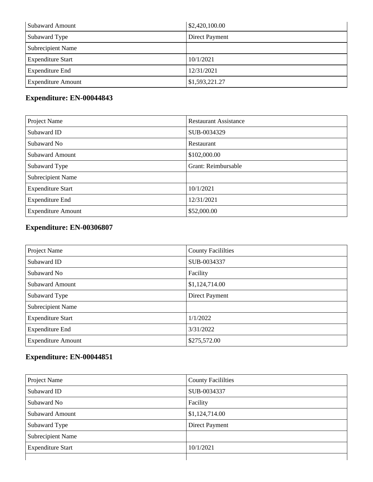| <b>Subaward Amount</b>    | \$2,420,100.00 |
|---------------------------|----------------|
| Subaward Type             | Direct Payment |
| <b>Subrecipient Name</b>  |                |
| <b>Expenditure Start</b>  | 10/1/2021      |
| <b>Expenditure End</b>    | 12/31/2021     |
| <b>Expenditure Amount</b> | \$1,593,221.27 |

| Project Name              | <b>Restaurant Assistance</b> |
|---------------------------|------------------------------|
| Subaward ID               | SUB-0034329                  |
| Subaward No               | Restaurant                   |
| <b>Subaward Amount</b>    | \$102,000.00                 |
| Subaward Type             | Grant: Reimbursable          |
| Subrecipient Name         |                              |
| <b>Expenditure Start</b>  | 10/1/2021                    |
| <b>Expenditure End</b>    | 12/31/2021                   |
| <b>Expenditure Amount</b> | \$52,000.00                  |

#### **Expenditure: EN-00306807**

| Project Name              | <b>County Facililties</b> |
|---------------------------|---------------------------|
| Subaward ID               | SUB-0034337               |
| Subaward No               | Facility                  |
| <b>Subaward Amount</b>    | \$1,124,714.00            |
| Subaward Type             | Direct Payment            |
| <b>Subrecipient Name</b>  |                           |
| <b>Expenditure Start</b>  | 1/1/2022                  |
| <b>Expenditure End</b>    | 3/31/2022                 |
| <b>Expenditure Amount</b> | \$275,572.00              |

| Project Name             | <b>County Facililties</b> |
|--------------------------|---------------------------|
| Subaward ID              | SUB-0034337               |
| Subaward No              | Facility                  |
| <b>Subaward Amount</b>   | \$1,124,714.00            |
| Subaward Type            | Direct Payment            |
| <b>Subrecipient Name</b> |                           |
| <b>Expenditure Start</b> | 10/1/2021                 |
|                          |                           |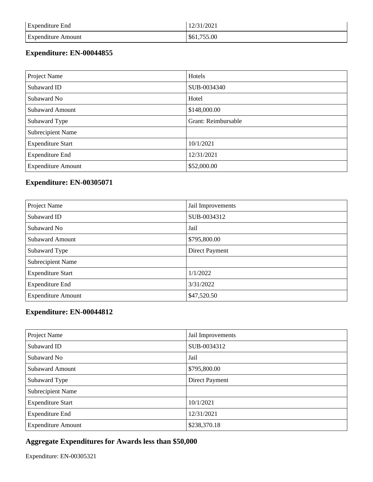| <b>Expenditure End</b>    | 12/31/2021  |
|---------------------------|-------------|
| <b>Expenditure Amount</b> | \$61,755.00 |

| Project Name              | Hotels              |
|---------------------------|---------------------|
| Subaward ID               | SUB-0034340         |
| Subaward No               | Hotel               |
| <b>Subaward Amount</b>    | \$148,000.00        |
| Subaward Type             | Grant: Reimbursable |
| Subrecipient Name         |                     |
| <b>Expenditure Start</b>  | 10/1/2021           |
| <b>Expenditure End</b>    | 12/31/2021          |
| <b>Expenditure Amount</b> | \$52,000.00         |

#### **Expenditure: EN-00305071**

| Project Name              | Jail Improvements |
|---------------------------|-------------------|
| Subaward ID               | SUB-0034312       |
| Subaward No               | Jail              |
| <b>Subaward Amount</b>    | \$795,800.00      |
| Subaward Type             | Direct Payment    |
| Subrecipient Name         |                   |
| <b>Expenditure Start</b>  | 1/1/2022          |
| <b>Expenditure End</b>    | 3/31/2022         |
| <b>Expenditure Amount</b> | \$47,520.50       |

#### **Expenditure: EN-00044812**

| Project Name              | Jail Improvements |
|---------------------------|-------------------|
| Subaward ID               | SUB-0034312       |
| Subaward No               | Jail              |
| <b>Subaward Amount</b>    | \$795,800.00      |
| Subaward Type             | Direct Payment    |
| Subrecipient Name         |                   |
| <b>Expenditure Start</b>  | 10/1/2021         |
| <b>Expenditure End</b>    | 12/31/2021        |
| <b>Expenditure Amount</b> | \$238,370.18      |

#### **Aggregate Expenditures for Awards less than \$50,000**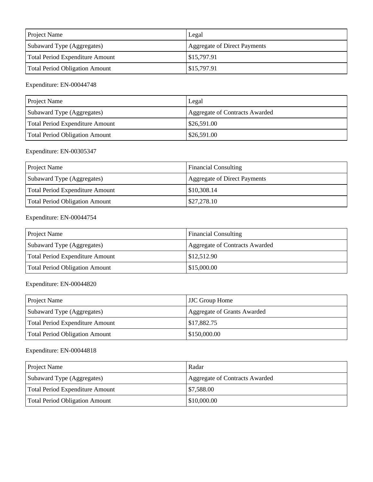| <b>Project Name</b>                   | Legal                        |
|---------------------------------------|------------------------------|
| Subaward Type (Aggregates)            | Aggregate of Direct Payments |
| Total Period Expenditure Amount       | \$15,797.91                  |
| <b>Total Period Obligation Amount</b> | \$15,797.91                  |

| <b>Project Name</b>             | Legal                          |
|---------------------------------|--------------------------------|
| Subaward Type (Aggregates)      | Aggregate of Contracts Awarded |
| Total Period Expenditure Amount | \$26,591.00                    |
| Total Period Obligation Amount  | $\frac{$26,591.00}{ }$         |

#### Expenditure: EN-00305347

| <b>Project Name</b>             | <b>Financial Consulting</b>  |
|---------------------------------|------------------------------|
| Subaward Type (Aggregates)      | Aggregate of Direct Payments |
| Total Period Expenditure Amount | \$10,308.14                  |
| Total Period Obligation Amount  | \$27,278.10                  |

#### Expenditure: EN-00044754

| <b>Project Name</b>                   | <b>Financial Consulting</b>    |
|---------------------------------------|--------------------------------|
| Subaward Type (Aggregates)            | Aggregate of Contracts Awarded |
| Total Period Expenditure Amount       | \$12,512.90                    |
| <b>Total Period Obligation Amount</b> | \$15,000.00                    |

#### Expenditure: EN-00044820

| Project Name                          | <b>JJC Group Home</b>       |
|---------------------------------------|-----------------------------|
| Subaward Type (Aggregates)            | Aggregate of Grants Awarded |
| Total Period Expenditure Amount       | \$17,882.75                 |
| <b>Total Period Obligation Amount</b> | \$150,000.00                |

| <b>Project Name</b>             | Radar                          |
|---------------------------------|--------------------------------|
| Subaward Type (Aggregates)      | Aggregate of Contracts Awarded |
| Total Period Expenditure Amount | \$7,588.00                     |
| Total Period Obligation Amount  | \$10,000.00                    |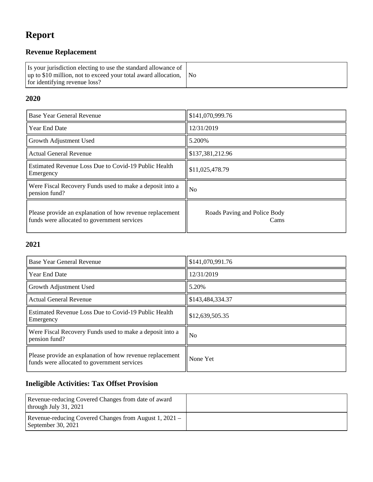## **Report**

### **Revenue Replacement**

| Is your jurisdiction electing to use the standard allowance of<br>$\mu$ up to \$10 million, not to exceed your total award allocation, $\Delta$ No<br>for identifying revenue loss? |  |
|-------------------------------------------------------------------------------------------------------------------------------------------------------------------------------------|--|
|-------------------------------------------------------------------------------------------------------------------------------------------------------------------------------------|--|

#### **2020**

| Base Year General Revenue                                                                               | \$141,070,999.76                     |
|---------------------------------------------------------------------------------------------------------|--------------------------------------|
| <b>Year End Date</b>                                                                                    | 12/31/2019                           |
| Growth Adjustment Used                                                                                  | 5.200%                               |
| <b>Actual General Revenue</b>                                                                           | \$137,381,212.96                     |
| Estimated Revenue Loss Due to Covid-19 Public Health<br>Emergency                                       | \$11,025,478.79                      |
| Were Fiscal Recovery Funds used to make a deposit into a<br>pension fund?                               | N <sub>o</sub>                       |
| Please provide an explanation of how revenue replacement<br>funds were allocated to government services | Roads Paving and Police Body<br>Cams |

#### **2021**

| Base Year General Revenue                                                                               | \$141,070,991.76 |
|---------------------------------------------------------------------------------------------------------|------------------|
| <b>Year End Date</b>                                                                                    | 12/31/2019       |
| Growth Adjustment Used                                                                                  | 5.20%            |
| <b>Actual General Revenue</b>                                                                           | \$143,484,334.37 |
| Estimated Revenue Loss Due to Covid-19 Public Health<br>Emergency                                       | \$12,639,505.35  |
| Were Fiscal Recovery Funds used to make a deposit into a<br>pension fund?                               | N <sub>0</sub>   |
| Please provide an explanation of how revenue replacement<br>funds were allocated to government services | None Yet         |

### **Ineligible Activities: Tax Offset Provision**

| Revenue-reducing Covered Changes from date of award<br>through July $31, 2021$ |  |
|--------------------------------------------------------------------------------|--|
| Revenue-reducing Covered Changes from August 1, 2021 –<br>September 30, $2021$ |  |